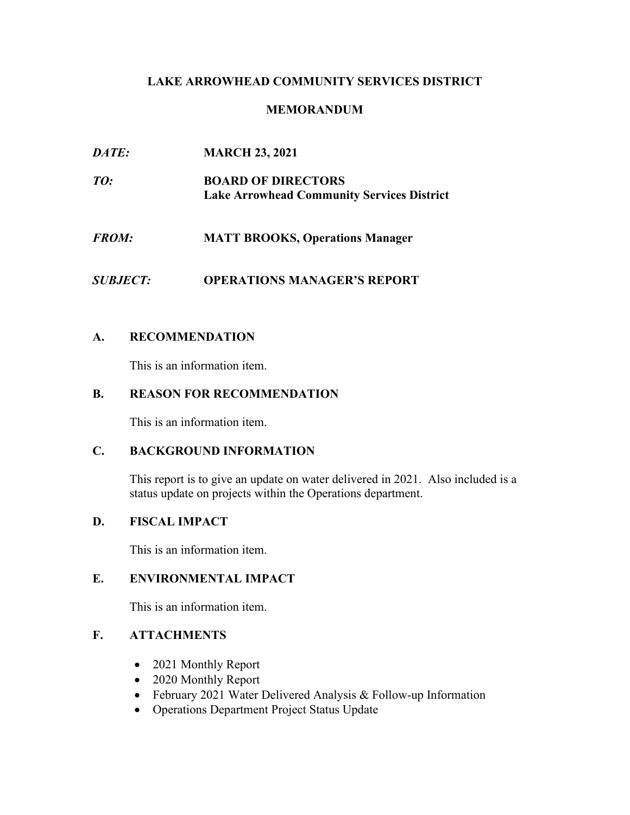## **LAKE ARROWHEAD COMMUNITY SERVICES DISTRICT**

## **MEMORANDUM**

| DATE:           | <b>MARCH 23, 2021</b>                                                          |
|-----------------|--------------------------------------------------------------------------------|
| TO:             | <b>BOARD OF DIRECTORS</b><br><b>Lake Arrowhead Community Services District</b> |
| <b>FROM:</b>    | <b>MATT BROOKS, Operations Manager</b>                                         |
| <i>SUBJECT:</i> | OPERATIONS MANAGER'S REPORT                                                    |

### **A. RECOMMENDATION**

This is an information item.

## **B. REASON FOR RECOMMENDATION**

This is an information item.

## **C. BACKGROUND INFORMATION**

This report is to give an update on water delivered in 2021. Also included is a status update on projects within the Operations department.

## **D. FISCAL IMPACT**

This is an information item.

## **E. ENVIRONMENTAL IMPACT**

This is an information item.

## **F. ATTACHMENTS**

- 2021 Monthly Report
- 2020 Monthly Report
- February 2021 Water Delivered Analysis & Follow-up Information
- Operations Department Project Status Update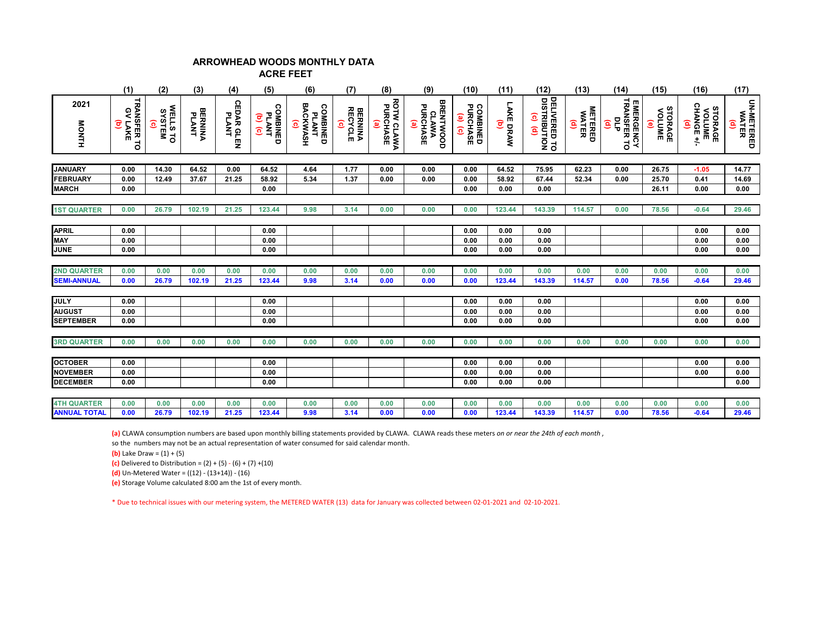#### **ARROWHEAD WOODS MONTHLY DATA ACRE FEET**

|                      | (1)                                   | (2)                                          | (3)                     | (4)                         | (5)                             | (6)                                                                    | (7)                                                 | (8)                         | (9)                                                 | (10)                                        | (11)                                | (12)                                          | (13)                         | (14)                                                               | (15)                           | (16)                                                      | (17)                             |
|----------------------|---------------------------------------|----------------------------------------------|-------------------------|-----------------------------|---------------------------------|------------------------------------------------------------------------|-----------------------------------------------------|-----------------------------|-----------------------------------------------------|---------------------------------------------|-------------------------------------|-----------------------------------------------|------------------------------|--------------------------------------------------------------------|--------------------------------|-----------------------------------------------------------|----------------------------------|
| 2021<br><b>MONTH</b> | TRANSFER TO<br>$\widehat{\mathbf{c}}$ | WELLS TO<br>SYSTEM<br>$\widehat{\mathbf{e}}$ | <b>BERNINA</b><br>PLANT | <b>CEDAR GLEN<br/>PLANT</b> | <b>COMBINED</b><br>PLANT<br>(a) | <b>BACKWASH</b><br><b>COMBINED<br/>PLANT</b><br>$\widehat{\mathbf{e}}$ | <b>BERNINA</b><br>RECYCLE<br>$\widehat{\mathbf{e}}$ | ROTW CLAWA<br>PURCHASE<br>ම | <b>BRENTWOOD</b><br>CLAWA<br>CLAWA<br>PURCHASE<br>ම | <b>COMBINED<br/>PURCHASE</b><br>$(a)$ $(c)$ | LAKE DRAW<br>$\widehat{\mathbf{g}}$ | DELIVERED TO<br>$\mathbf{e}$<br>$\widehat{e}$ | <b>METERED</b><br>WATER<br>ê | <b>EMERGENCY<br/>TRANSFER TO<br/>DLP</b><br>$\widehat{\mathsf{e}}$ | STORAGE<br>VOLUME<br>$\bullet$ | VOLUME<br>CHANGE +/-<br>STORAGE<br>$\widehat{\mathsf{e}}$ | <b>UN-METERED<br/>WATER</b><br>ê |
|                      |                                       |                                              |                         |                             |                                 |                                                                        |                                                     |                             |                                                     |                                             |                                     |                                               |                              |                                                                    |                                |                                                           |                                  |
| <b>JANUARY</b>       | 0.00                                  | 14.30                                        | 64.52                   | 0.00                        | 64.52                           | 4.64                                                                   | 1.77                                                | 0.00                        | 0.00                                                | 0.00                                        | 64.52                               | 75.95                                         | 62.23                        | 0.00                                                               | 26.75                          | $-1.05$                                                   | 14.77                            |
| <b>FEBRUARY</b>      | 0.00                                  | 12.49                                        | 37.67                   | 21.25                       | 58.92                           | 5.34                                                                   | 1.37                                                | 0.00                        | 0.00                                                | 0.00                                        | 58.92                               | 67.44                                         | 52.34                        | 0.00                                                               | 25.70                          | 0.41                                                      | 14.69                            |
| <b>MARCH</b>         | 0.00                                  |                                              |                         |                             | 0.00                            |                                                                        |                                                     |                             |                                                     | 0.00                                        | 0.00                                | 0.00                                          |                              |                                                                    | 26.11                          | 0.00                                                      | 0.00                             |
|                      |                                       |                                              |                         |                             |                                 |                                                                        |                                                     |                             |                                                     |                                             |                                     |                                               |                              |                                                                    |                                |                                                           |                                  |
| <b>1ST QUARTER</b>   | 0.00                                  | 26.79                                        | 102.19                  | 21.25                       | 123.44                          | 9.98                                                                   | 3.14                                                | 0.00                        | 0.00                                                | 0.00                                        | 123.44                              | 143.39                                        | 114.57                       | 0.00                                                               | 78.56                          | $-0.64$                                                   | 29.46                            |
|                      |                                       |                                              |                         |                             |                                 |                                                                        |                                                     |                             |                                                     |                                             |                                     |                                               |                              |                                                                    |                                |                                                           |                                  |
| <b>APRIL</b>         | 0.00                                  |                                              |                         |                             | 0.00                            |                                                                        |                                                     |                             |                                                     | 0.00                                        | 0.00                                | 0.00                                          |                              |                                                                    |                                | 0.00                                                      | 0.00                             |
| <b>MAY</b>           | 0.00                                  |                                              |                         |                             | 0.00                            |                                                                        |                                                     |                             |                                                     | 0.00                                        | 0.00                                | 0.00                                          |                              |                                                                    |                                | 0.00                                                      | 0.00                             |
| <b>JUNE</b>          | 0.00                                  |                                              |                         |                             | 0.00                            |                                                                        |                                                     |                             |                                                     | 0.00                                        | 0.00                                | 0.00                                          |                              |                                                                    |                                | 0.00                                                      | 0.00                             |
|                      |                                       |                                              |                         |                             |                                 |                                                                        |                                                     |                             |                                                     |                                             |                                     |                                               |                              |                                                                    |                                |                                                           |                                  |
| <b>2ND QUARTER</b>   | 0.00                                  | 0.00                                         | 0.00                    | 0.00                        | 0.00                            | 0.00                                                                   | 0.00                                                | 0.00                        | 0.00                                                | 0.00                                        | 0.00                                | 0.00                                          | 0.00                         | 0.00                                                               | 0.00                           | 0.00                                                      | 0.00                             |
| <b>SEMI-ANNUAL</b>   | 0.00                                  | 26.79                                        | 102.19                  | 21.25                       | 123.44                          | 9.98                                                                   | 3.14                                                | 0.00                        | 0.00                                                | 0.00                                        | 123.44                              | 143.39                                        | 114.57                       | 0.00                                                               | 78.56                          | $-0.64$                                                   | 29.46                            |
|                      |                                       |                                              |                         |                             |                                 |                                                                        |                                                     |                             |                                                     |                                             |                                     |                                               |                              |                                                                    |                                |                                                           |                                  |
| <b>JULY</b>          | 0.00                                  |                                              |                         |                             | 0.00                            |                                                                        |                                                     |                             |                                                     | 0.00                                        | 0.00                                | 0.00                                          |                              |                                                                    |                                | 0.00                                                      | 0.00                             |
| <b>AUGUST</b>        | 0.00                                  |                                              |                         |                             | 0.00                            |                                                                        |                                                     |                             |                                                     | 0.00                                        | 0.00                                | 0.00                                          |                              |                                                                    |                                | 0.00                                                      | 0.00                             |
| <b>SEPTEMBER</b>     | 0.00                                  |                                              |                         |                             | 0.00                            |                                                                        |                                                     |                             |                                                     | 0.00                                        | 0.00                                | 0.00                                          |                              |                                                                    |                                | 0.00                                                      | 0.00                             |
|                      |                                       |                                              |                         |                             |                                 |                                                                        |                                                     |                             |                                                     |                                             |                                     |                                               |                              |                                                                    |                                |                                                           |                                  |
| <b>3RD QUARTER</b>   | 0.00                                  | 0.00                                         | 0.00                    | 0.00                        | 0.00                            | 0.00                                                                   | 0.00                                                | 0.00                        | 0.00                                                | 0.00                                        | 0.00                                | 0.00                                          | 0.00                         | 0.00                                                               | 0.00                           | 0.00                                                      | 0.00                             |
|                      |                                       |                                              |                         |                             |                                 |                                                                        |                                                     |                             |                                                     |                                             |                                     |                                               |                              |                                                                    |                                |                                                           |                                  |
| <b>OCTOBER</b>       | 0.00                                  |                                              |                         |                             | 0.00                            |                                                                        |                                                     |                             |                                                     | 0.00                                        | 0.00                                | 0.00                                          |                              |                                                                    |                                | 0.00                                                      | 0.00                             |
| <b>NOVEMBER</b>      | 0.00                                  |                                              |                         |                             | 0.00                            |                                                                        |                                                     |                             |                                                     | 0.00                                        | 0.00                                | 0.00                                          |                              |                                                                    |                                | 0.00                                                      | 0.00                             |
| <b>DECEMBER</b>      | 0.00                                  |                                              |                         |                             | 0.00                            |                                                                        |                                                     |                             |                                                     | 0.00                                        | 0.00                                | 0.00                                          |                              |                                                                    |                                |                                                           | 0.00                             |
|                      |                                       |                                              |                         |                             |                                 |                                                                        |                                                     |                             |                                                     |                                             |                                     |                                               |                              |                                                                    |                                |                                                           |                                  |
| <b>4TH QUARTER</b>   | 0.00                                  | 0.00                                         | 0.00                    | 0.00                        | 0.00                            | 0.00                                                                   | 0.00                                                | 0.00                        | 0.00                                                | 0.00                                        | 0.00                                | 0.00                                          | 0.00                         | 0.00                                                               | 0.00                           | 0.00                                                      | 0.00                             |
| <b>ANNUAL TOTAL</b>  | 0.00                                  | 26.79                                        | 102.19                  | 21.25                       | 123.44                          | 9.98                                                                   | 3.14                                                | 0.00                        | 0.00                                                | 0.00                                        | 123.44                              | 143.39                                        | 114.57                       | 0.00                                                               | 78.56                          | $-0.64$                                                   | 29.46                            |

**(a)** CLAWA consumption numbers are based upon monthly billing statements provided by CLAWA. CLAWA reads these meters *on or near the 24th of each month* ,

so the numbers may not be an actual representation of water consumed for said calendar month.

**(b)** Lake Draw =  $(1) + (5)$ 

**(c)** Delivered to Distribution =  $(2) + (5) - (6) + (7) + (10)$ 

**(d)** Un-Metered Water = ((12) - (13+14)) - (16)

**(e)** Storage Volume calculated 8:00 am the 1st of every month.

\* Due to technical issues with our metering system, the METERED WATER (13) data for January was collected between 02-01-2021 and 02-10-2021.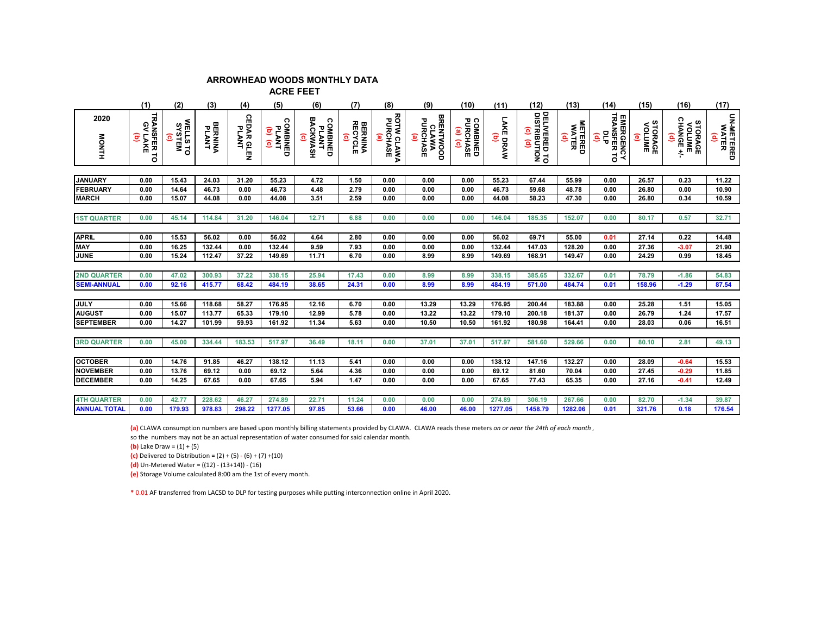## **ARROWHEAD WOODS MONTHLY DATA**

 **ACRE FEET**

|                      | (1)                                                               | (2)                                          | (3)                     | (4)                          | (5)                                       | (6)                                                                    | (7)                                                 | (8)                         | (9)                                        | (10)                                    | (11)                                | (12)                                                                            | (13)                                              | (14)                                                   | (15)                                        | (16)                                          | (17)                             |
|----------------------|-------------------------------------------------------------------|----------------------------------------------|-------------------------|------------------------------|-------------------------------------------|------------------------------------------------------------------------|-----------------------------------------------------|-----------------------------|--------------------------------------------|-----------------------------------------|-------------------------------------|---------------------------------------------------------------------------------|---------------------------------------------------|--------------------------------------------------------|---------------------------------------------|-----------------------------------------------|----------------------------------|
| 2020<br><b>HINOM</b> | <b>TRANSFER</b><br>GV LAKE<br>$\widehat{\mathbf{g}}$<br>LAKE<br>ಕ | WELLS TO<br>SYSTEM<br>$\widehat{\mathbf{e}}$ | <b>BERNINA</b><br>PLANT | ດ<br>ш<br>EDAR GLEN<br>FLANT | <b>COMBINED</b><br>PLANT<br>$\frac{1}{2}$ | <b>BACKWASH</b><br><b>COMBINED<br/>PLANT</b><br>$\widehat{\mathbf{e}}$ | <b>BERNINA</b><br>RECYCLE<br>$\widehat{\mathbf{e}}$ | ROTW CLAWA<br>PURCHASE<br>ම | <b>BRENTWOOD</b><br>CLAWA<br>PURCHASE<br>ම | <b>COMBINED<br/>PURCHASE</b><br>(၁) (၉) | LAKE DRAW<br>$\widehat{\mathbf{g}}$ | <b>DELIVERED TO</b><br>DISTRIBUTION<br>$\widehat{\mathbf{e}}$<br>ê<br>$\vec{c}$ | <b>METERED</b><br>WATER<br>$\widehat{\mathsf{e}}$ | EMERGENCY<br>TRANSFERTO<br>믑<br>$\mathbf{\widehat{e}}$ | STORAGE<br>VOLUME<br>$\widehat{\mathbf{e}}$ | <b>STORAGE<br/>VOLUME<br/>CHANGE +/-</b><br>ê | <b>UN-METERED<br/>WATER</b><br>ê |
|                      |                                                                   |                                              |                         |                              |                                           |                                                                        |                                                     |                             |                                            |                                         |                                     |                                                                                 |                                                   |                                                        |                                             |                                               |                                  |
| <b>JANUARY</b>       | 0.00                                                              | 15.43                                        | 24.03                   | 31.20                        | 55.23                                     | 4.72                                                                   | 1.50                                                | 0.00                        | 0.00                                       | 0.00                                    | 55.23                               | 67.44                                                                           | 55.99                                             | 0.00                                                   | 26.57                                       | 0.23                                          | 11.22                            |
| <b>FEBRUARY</b>      | 0.00                                                              | 14.64                                        | 46.73                   | 0.00                         | 46.73                                     | 4.48                                                                   | 2.79                                                | 0.00                        | 0.00                                       | 0.00                                    | 46.73                               | 59.68                                                                           | 48.78                                             | 0.00                                                   | 26.80                                       | 0.00                                          | 10.90                            |
| <b>MARCH</b>         | 0.00                                                              | 15.07                                        | 44.08                   | 0.00                         | 44.08                                     | 3.51                                                                   | 2.59                                                | 0.00                        | 0.00                                       | 0.00                                    | 44.08                               | 58.23                                                                           | 47.30                                             | 0.00                                                   | 26.80                                       | 0.34                                          | 10.59                            |
|                      |                                                                   |                                              |                         |                              |                                           |                                                                        |                                                     |                             |                                            |                                         |                                     |                                                                                 |                                                   |                                                        |                                             |                                               |                                  |
| <b>1ST QUARTER</b>   | 0.00                                                              | 45.14                                        | 114.84                  | 31.20                        | 146.04                                    | 12.71                                                                  | 6.88                                                | 0.00                        | 0.00                                       | 0.00                                    | 146.04                              | 185.35                                                                          | 152.07                                            | 0.00                                                   | 80.17                                       | 0.57                                          | 32.71                            |
|                      |                                                                   |                                              |                         |                              |                                           |                                                                        |                                                     |                             |                                            |                                         |                                     |                                                                                 |                                                   |                                                        |                                             |                                               |                                  |
| <b>APRIL</b>         | 0.00                                                              | 15.53                                        | 56.02                   | 0.00                         | 56.02                                     | 4.64                                                                   | 2.80                                                | 0.00                        | 0.00                                       | 0.00                                    | 56.02                               | 69.71                                                                           | 55.00                                             | 0.01                                                   | 27.14                                       | 0.22                                          | 14.48                            |
| <b>MAY</b>           | 0.00                                                              | 16.25                                        | 132.44                  | 0.00                         | 132.44                                    | 9.59                                                                   | 7.93                                                | 0.00                        | 0.00                                       | 0.00                                    | 132.44                              | 147.03                                                                          | 128.20                                            | 0.00                                                   | 27.36                                       | $-3.07$                                       | 21.90                            |
| JUNE                 | 0.00                                                              | 15.24                                        | 112.47                  | 37.22                        | 149.69                                    | 11.71                                                                  | 6.70                                                | 0.00                        | 8.99                                       | 8.99                                    | 149.69                              | 168.91                                                                          | 149.47                                            | 0.00                                                   | 24.29                                       | 0.99                                          | 18.45                            |
|                      |                                                                   |                                              |                         |                              |                                           |                                                                        |                                                     |                             |                                            |                                         |                                     |                                                                                 |                                                   |                                                        |                                             |                                               |                                  |
| <b>2ND QUARTER</b>   | 0.00                                                              | 47.02                                        | 300.93                  | 37.22                        | 338.15                                    | 25.94                                                                  | 17.43                                               | 0.00                        | 8.99                                       | 8.99                                    | 338.15                              | 385.65                                                                          | 332.67                                            | 0.01                                                   | 78.79                                       | $-1.86$                                       | 54.83                            |
| <b>SEMI-ANNUAL</b>   | 0.00                                                              | 92.16                                        | 415.77                  | 68.42                        | 484.19                                    | 38.65                                                                  | 24.31                                               | 0.00                        | 8.99                                       | 8.99                                    | 484.19                              | 571.00                                                                          | 484.74                                            | 0.01                                                   | 158.96                                      | $-1.29$                                       | 87.54                            |
|                      |                                                                   |                                              |                         |                              |                                           |                                                                        |                                                     |                             |                                            |                                         |                                     |                                                                                 |                                                   |                                                        |                                             |                                               |                                  |
| JULY                 | 0.00                                                              | 15.66                                        | 118.68                  | 58.27                        | 176.95                                    | 12.16                                                                  | 6.70                                                | 0.00                        | 13.29                                      | 13.29                                   | 176.95                              | 200.44                                                                          | 183.88                                            | 0.00                                                   | 25.28                                       | 1.51                                          | 15.05                            |
| <b>AUGUST</b>        | 0.00                                                              | 15.07                                        | 113.77                  | 65.33                        | 179.10                                    | 12.99                                                                  | 5.78                                                | 0.00                        | 13.22                                      | 13.22                                   | 179.10                              | 200.18                                                                          | 181.37                                            | 0.00                                                   | 26.79                                       | 1.24                                          | 17.57                            |
| <b>SEPTEMBER</b>     | 0.00                                                              | 14.27                                        | 101.99                  | 59.93                        | 161.92                                    | 11.34                                                                  | 5.63                                                | 0.00                        | 10.50                                      | 10.50                                   | 161.92                              | 180.98                                                                          | 164.41                                            | 0.00                                                   | 28.03                                       | 0.06                                          | 16.51                            |
|                      |                                                                   |                                              |                         |                              |                                           |                                                                        |                                                     |                             |                                            |                                         |                                     |                                                                                 |                                                   |                                                        |                                             |                                               |                                  |
| <b>3RD QUARTER</b>   | 0.00                                                              | 45.00                                        | 334.44                  | 183.53                       | 517.97                                    | 36.49                                                                  | 18.11                                               | 0.00                        | 37.01                                      | 37.01                                   | 517.97                              | 581.60                                                                          | 529.66                                            | 0.00                                                   | 80.10                                       | 2.81                                          | 49.13                            |
|                      |                                                                   |                                              |                         |                              |                                           |                                                                        |                                                     |                             |                                            |                                         |                                     |                                                                                 |                                                   |                                                        |                                             |                                               |                                  |
| <b>OCTOBER</b>       | 0.00                                                              | 14.76                                        | 91.85                   | 46.27                        | 138.12                                    | 11.13                                                                  | 5.41                                                | 0.00                        | 0.00                                       | 0.00                                    | 138.12                              | 147.16                                                                          | 132.27                                            | 0.00                                                   | 28.09                                       | $-0.64$                                       | 15.53                            |
| <b>NOVEMBER</b>      | 0.00                                                              | 13.76                                        | 69.12                   | 0.00                         | 69.12                                     | 5.64                                                                   | 4.36                                                | 0.00                        | 0.00                                       | 0.00                                    | 69.12                               | 81.60                                                                           | 70.04                                             | 0.00                                                   | 27.45                                       | $-0.29$                                       | 11.85                            |
| <b>DECEMBER</b>      | 0.00                                                              | 14.25                                        | 67.65                   | 0.00                         | 67.65                                     | 5.94                                                                   | 1.47                                                | 0.00                        | 0.00                                       | 0.00                                    | 67.65                               | 77.43                                                                           | 65.35                                             | 0.00                                                   | 27.16                                       | $-0.41$                                       | 12.49                            |
|                      |                                                                   |                                              |                         |                              |                                           |                                                                        |                                                     |                             |                                            |                                         |                                     |                                                                                 |                                                   |                                                        |                                             |                                               |                                  |
| <b>4TH QUARTER</b>   | 0.00                                                              | 42.77                                        | 228.62                  | 46.27                        | 274.89                                    | 22.71                                                                  | 11.24                                               | 0.00                        | 0.00                                       | 0.00                                    | 274.89                              | 306.19                                                                          | 267.66                                            | 0.00                                                   | 82.70                                       | $-1.34$                                       | 39.87                            |
| <b>ANNUAL TOTAL</b>  | 0.00                                                              | 179.93                                       | 978.83                  | 298.22                       | 1277.05                                   | 97.85                                                                  | 53.66                                               | 0.00                        | 46.00                                      | 46.00                                   | 1277.05                             | 1458.79                                                                         | 1282.06                                           | 0.01                                                   | 321.76                                      | 0.18                                          | 176.54                           |

**(a)** CLAWA consumption numbers are based upon monthly billing statements provided by CLAWA. CLAWA reads these meters *on or near the 24th of each month* ,

so the numbers may not be an actual representation of water consumed for said calendar month.

**(b)** Lake Draw = (1) + (5)

**(c)** Delivered to Distribution =  $(2) + (5) - (6) + (7) + (10)$ 

**(d)** Un-Metered Water = ((12) - (13+14)) - (16)

**(e)** Storage Volume calculated 8:00 am the 1st of every month.

**\*** 0.01 AF transferred from LACSD to DLP for testing purposes while putting interconnection online in April 2020.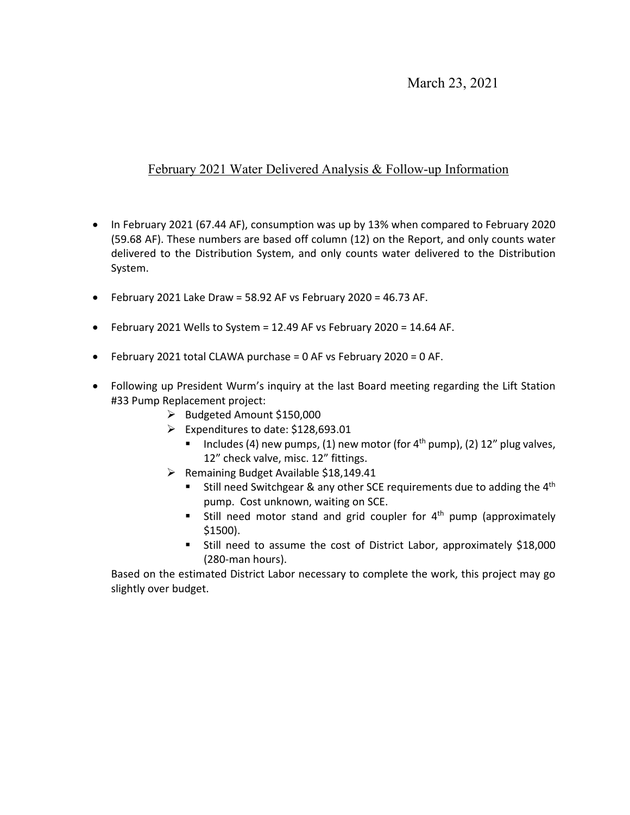# March 23, 2021

## February 2021 Water Delivered Analysis & Follow-up Information

- In February 2021 (67.44 AF), consumption was up by 13% when compared to February 2020 (59.68 AF). These numbers are based off column (12) on the Report, and only counts water delivered to the Distribution System, and only counts water delivered to the Distribution System.
- February 2021 Lake Draw = 58.92 AF vs February 2020 = 46.73 AF.
- February 2021 Wells to System = 12.49 AF vs February 2020 = 14.64 AF.
- February 2021 total CLAWA purchase = 0 AF vs February 2020 = 0 AF.
- Following up President Wurm's inquiry at the last Board meeting regarding the Lift Station #33 Pump Replacement project:
	- $\triangleright$  Budgeted Amount \$150,000
	- $\triangleright$  Expenditures to date: \$128,693.01
		- Includes (4) new pumps, (1) new motor (for  $4<sup>th</sup>$  pump), (2) 12" plug valves, 12" check valve, misc. 12" fittings.
	- $\triangleright$  Remaining Budget Available \$18,149.41
		- Still need Switchgear & any other SCE requirements due to adding the 4<sup>th</sup> pump. Cost unknown, waiting on SCE.
		- Still need motor stand and grid coupler for  $4<sup>th</sup>$  pump (approximately \$1500).
		- Still need to assume the cost of District Labor, approximately \$18,000 (280-man hours).

Based on the estimated District Labor necessary to complete the work, this project may go slightly over budget.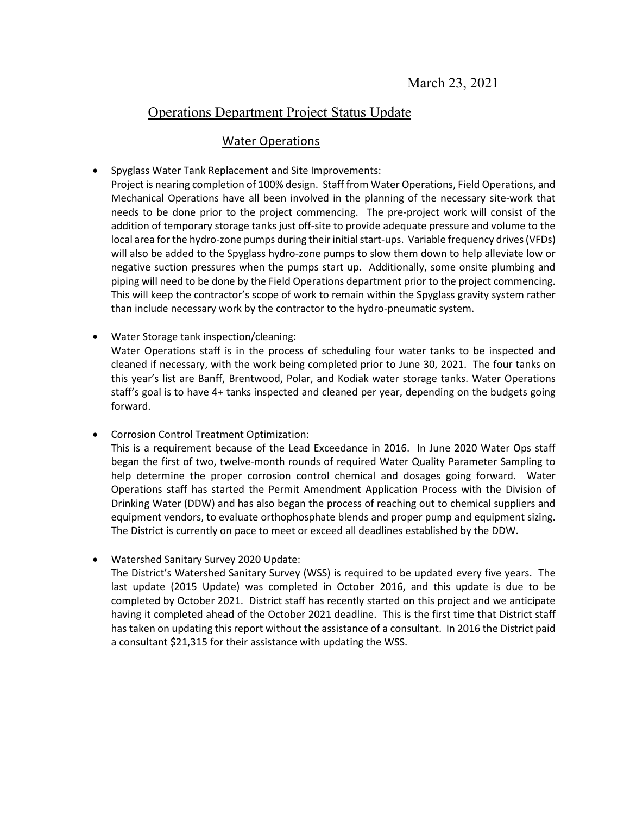# Operations Department Project Status Update

## Water Operations

- Spyglass Water Tank Replacement and Site Improvements:
- Project is nearing completion of 100% design. Staff from Water Operations, Field Operations, and Mechanical Operations have all been involved in the planning of the necessary site-work that needs to be done prior to the project commencing. The pre-project work will consist of the addition of temporary storage tanks just off-site to provide adequate pressure and volume to the local area for the hydro-zone pumps during their initial start-ups. Variable frequency drives (VFDs) will also be added to the Spyglass hydro-zone pumps to slow them down to help alleviate low or negative suction pressures when the pumps start up. Additionally, some onsite plumbing and piping will need to be done by the Field Operations department prior to the project commencing. This will keep the contractor's scope of work to remain within the Spyglass gravity system rather than include necessary work by the contractor to the hydro-pneumatic system.
- Water Storage tank inspection/cleaning: Water Operations staff is in the process of scheduling four water tanks to be inspected and cleaned if necessary, with the work being completed prior to June 30, 2021. The four tanks on this year's list are Banff, Brentwood, Polar, and Kodiak water storage tanks. Water Operations staff's goal is to have 4+ tanks inspected and cleaned per year, depending on the budgets going
- Corrosion Control Treatment Optimization:

forward.

This is a requirement because of the Lead Exceedance in 2016. In June 2020 Water Ops staff began the first of two, twelve-month rounds of required Water Quality Parameter Sampling to help determine the proper corrosion control chemical and dosages going forward. Water Operations staff has started the Permit Amendment Application Process with the Division of Drinking Water (DDW) and has also began the process of reaching out to chemical suppliers and equipment vendors, to evaluate orthophosphate blends and proper pump and equipment sizing. The District is currently on pace to meet or exceed all deadlines established by the DDW.

• Watershed Sanitary Survey 2020 Update:

The District's Watershed Sanitary Survey (WSS) is required to be updated every five years. The last update (2015 Update) was completed in October 2016, and this update is due to be completed by October 2021. District staff has recently started on this project and we anticipate having it completed ahead of the October 2021 deadline. This is the first time that District staff has taken on updating this report without the assistance of a consultant. In 2016 the District paid a consultant \$21,315 for their assistance with updating the WSS.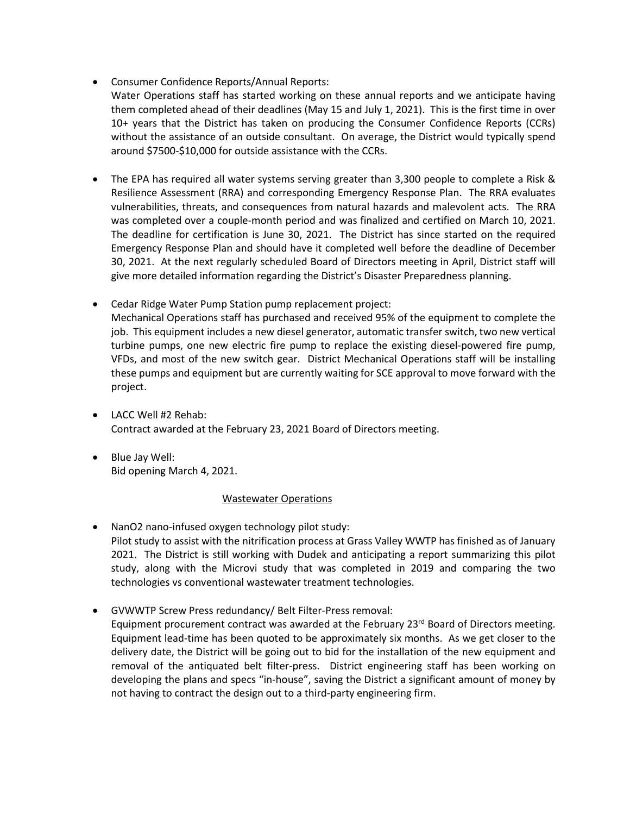- Consumer Confidence Reports/Annual Reports:
	- Water Operations staff has started working on these annual reports and we anticipate having them completed ahead of their deadlines (May 15 and July 1, 2021). This is the first time in over 10+ years that the District has taken on producing the Consumer Confidence Reports (CCRs) without the assistance of an outside consultant. On average, the District would typically spend around \$7500-\$10,000 for outside assistance with the CCRs.
- The EPA has required all water systems serving greater than 3,300 people to complete a Risk & Resilience Assessment (RRA) and corresponding Emergency Response Plan. The RRA evaluates vulnerabilities, threats, and consequences from natural hazards and malevolent acts. The RRA was completed over a couple-month period and was finalized and certified on March 10, 2021. The deadline for certification is June 30, 2021. The District has since started on the required Emergency Response Plan and should have it completed well before the deadline of December 30, 2021. At the next regularly scheduled Board of Directors meeting in April, District staff will give more detailed information regarding the District's Disaster Preparedness planning.
- Cedar Ridge Water Pump Station pump replacement project: Mechanical Operations staff has purchased and received 95% of the equipment to complete the job. This equipment includes a new diesel generator, automatic transfer switch, two new vertical turbine pumps, one new electric fire pump to replace the existing diesel-powered fire pump, VFDs, and most of the new switch gear. District Mechanical Operations staff will be installing these pumps and equipment but are currently waiting for SCE approval to move forward with the project.
- LACC Well #2 Rehab: Contract awarded at the February 23, 2021 Board of Directors meeting.
- Blue Jay Well: Bid opening March 4, 2021.

### Wastewater Operations

- NanO2 nano-infused oxygen technology pilot study: Pilot study to assist with the nitrification process at Grass Valley WWTP has finished as of January 2021. The District is still working with Dudek and anticipating a report summarizing this pilot study, along with the Microvi study that was completed in 2019 and comparing the two technologies vs conventional wastewater treatment technologies.
- GVWWTP Screw Press redundancy/ Belt Filter-Press removal: Equipment procurement contract was awarded at the February 23<sup>rd</sup> Board of Directors meeting. Equipment lead-time has been quoted to be approximately six months. As we get closer to the delivery date, the District will be going out to bid for the installation of the new equipment and removal of the antiquated belt filter-press. District engineering staff has been working on developing the plans and specs "in-house", saving the District a significant amount of money by not having to contract the design out to a third-party engineering firm.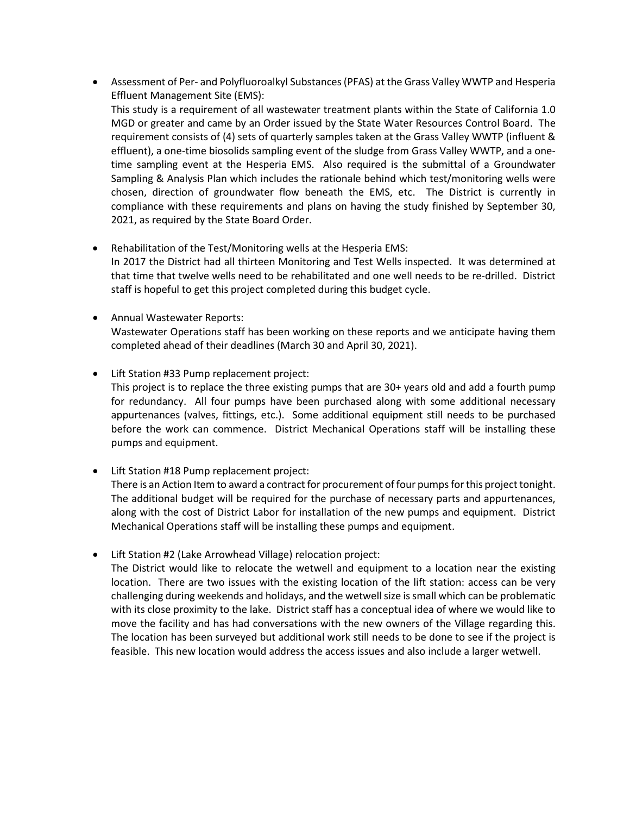- Assessment of Per- and Polyfluoroalkyl Substances (PFAS) at the Grass Valley WWTP and Hesperia Effluent Management Site (EMS): This study is a requirement of all wastewater treatment plants within the State of California 1.0 MGD or greater and came by an Order issued by the State Water Resources Control Board. The requirement consists of (4) sets of quarterly samples taken at the Grass Valley WWTP (influent & effluent), a one-time biosolids sampling event of the sludge from Grass Valley WWTP, and a onetime sampling event at the Hesperia EMS. Also required is the submittal of a Groundwater Sampling & Analysis Plan which includes the rationale behind which test/monitoring wells were chosen, direction of groundwater flow beneath the EMS, etc. The District is currently in compliance with these requirements and plans on having the study finished by September 30, 2021, as required by the State Board Order.
- Rehabilitation of the Test/Monitoring wells at the Hesperia EMS: In 2017 the District had all thirteen Monitoring and Test Wells inspected. It was determined at that time that twelve wells need to be rehabilitated and one well needs to be re-drilled. District staff is hopeful to get this project completed during this budget cycle.
- Annual Wastewater Reports: Wastewater Operations staff has been working on these reports and we anticipate having them completed ahead of their deadlines (March 30 and April 30, 2021).
- Lift Station #33 Pump replacement project: This project is to replace the three existing pumps that are 30+ years old and add a fourth pump for redundancy. All four pumps have been purchased along with some additional necessary appurtenances (valves, fittings, etc.). Some additional equipment still needs to be purchased before the work can commence. District Mechanical Operations staff will be installing these pumps and equipment.
- Lift Station #18 Pump replacement project: There is an Action Item to award a contract for procurement of four pumps for this project tonight. The additional budget will be required for the purchase of necessary parts and appurtenances, along with the cost of District Labor for installation of the new pumps and equipment. District Mechanical Operations staff will be installing these pumps and equipment.
- Lift Station #2 (Lake Arrowhead Village) relocation project:

The District would like to relocate the wetwell and equipment to a location near the existing location. There are two issues with the existing location of the lift station: access can be very challenging during weekends and holidays, and the wetwell size issmall which can be problematic with its close proximity to the lake. District staff has a conceptual idea of where we would like to move the facility and has had conversations with the new owners of the Village regarding this. The location has been surveyed but additional work still needs to be done to see if the project is feasible. This new location would address the access issues and also include a larger wetwell.